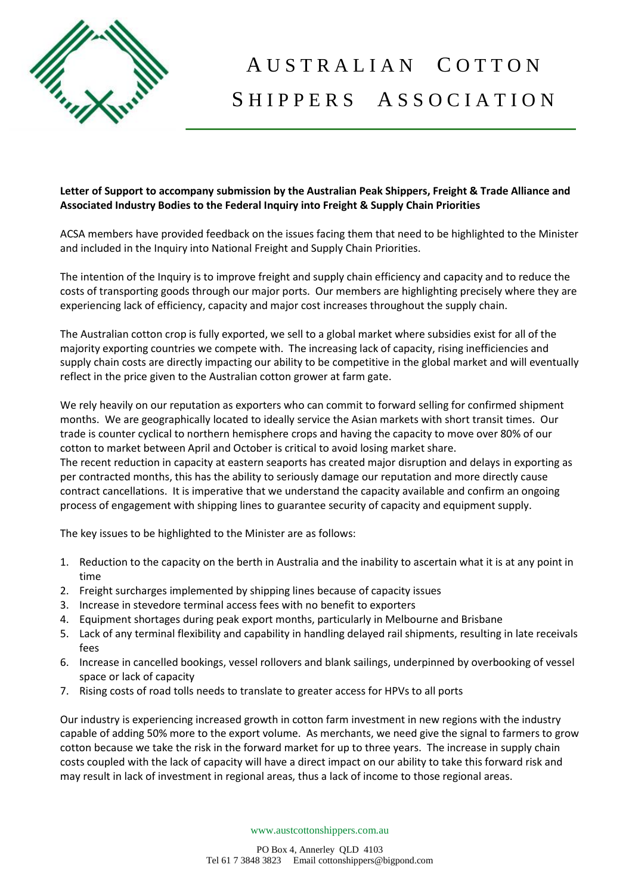

## A U S T R A L I A N C O T T O N SHIPPERS ASSOCIATION

## **Letter of Support to accompany submission by the Australian Peak Shippers, Freight & Trade Alliance and Associated Industry Bodies to the Federal Inquiry into Freight & Supply Chain Priorities**

ACSA members have provided feedback on the issues facing them that need to be highlighted to the Minister and included in the Inquiry into National Freight and Supply Chain Priorities.

The intention of the Inquiry is to improve freight and supply chain efficiency and capacity and to reduce the costs of transporting goods through our major ports. Our members are highlighting precisely where they are experiencing lack of efficiency, capacity and major cost increases throughout the supply chain.

The Australian cotton crop is fully exported, we sell to a global market where subsidies exist for all of the majority exporting countries we compete with. The increasing lack of capacity, rising inefficiencies and supply chain costs are directly impacting our ability to be competitive in the global market and will eventually reflect in the price given to the Australian cotton grower at farm gate.

We rely heavily on our reputation as exporters who can commit to forward selling for confirmed shipment months. We are geographically located to ideally service the Asian markets with short transit times. Our trade is counter cyclical to northern hemisphere crops and having the capacity to move over 80% of our cotton to market between April and October is critical to avoid losing market share.

The recent reduction in capacity at eastern seaports has created major disruption and delays in exporting as per contracted months, this has the ability to seriously damage our reputation and more directly cause contract cancellations. It is imperative that we understand the capacity available and confirm an ongoing process of engagement with shipping lines to guarantee security of capacity and equipment supply.

The key issues to be highlighted to the Minister are as follows:

- 1. Reduction to the capacity on the berth in Australia and the inability to ascertain what it is at any point in time
- 2. Freight surcharges implemented by shipping lines because of capacity issues
- 3. Increase in stevedore terminal access fees with no benefit to exporters
- 4. Equipment shortages during peak export months, particularly in Melbourne and Brisbane
- 5. Lack of any terminal flexibility and capability in handling delayed rail shipments, resulting in late receivals fees
- 6. Increase in cancelled bookings, vessel rollovers and blank sailings, underpinned by overbooking of vessel space or lack of capacity
- 7. Rising costs of road tolls needs to translate to greater access for HPVs to all ports

Our industry is experiencing increased growth in cotton farm investment in new regions with the industry capable of adding 50% more to the export volume. As merchants, we need give the signal to farmers to grow cotton because we take the risk in the forward market for up to three years. The increase in supply chain costs coupled with the lack of capacity will have a direct impact on our ability to take this forward risk and may result in lack of investment in regional areas, thus a lack of income to those regional areas.

www.austcottonshippers.com.au